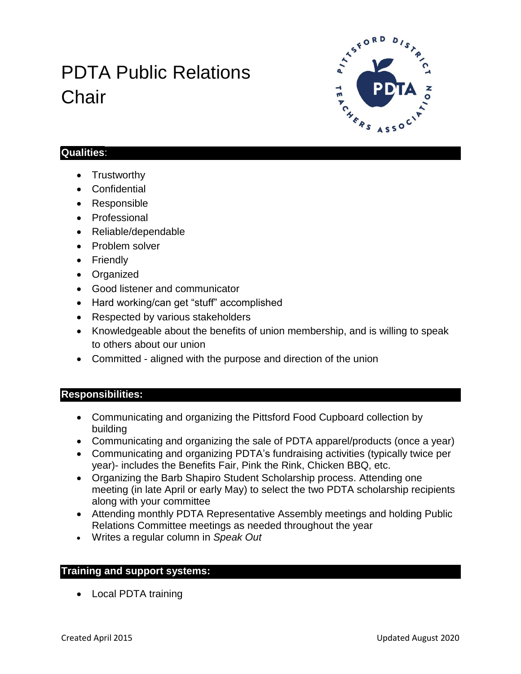# PDTA Public Relations **Chair**



#### **Qualities**:

- Trustworthy
- Confidential
- Responsible
- Professional
- Reliable/dependable
- Problem solver
- Friendly
- Organized
- Good listener and communicator
- Hard working/can get "stuff" accomplished
- Respected by various stakeholders
- Knowledgeable about the benefits of union membership, and is willing to speak to others about our union
- Committed aligned with the purpose and direction of the union

## **Responsibilities:**

- Communicating and organizing the Pittsford Food Cupboard collection by building
- Communicating and organizing the sale of PDTA apparel/products (once a year)
- Communicating and organizing PDTA's fundraising activities (typically twice per year)- includes the Benefits Fair, Pink the Rink, Chicken BBQ, etc.
- Organizing the Barb Shapiro Student Scholarship process. Attending one meeting (in late April or early May) to select the two PDTA scholarship recipients along with your committee
- Attending monthly PDTA Representative Assembly meetings and holding Public Relations Committee meetings as needed throughout the year
- Writes a regular column in *Speak Out*

### **Training and support systems:**

• Local PDTA training